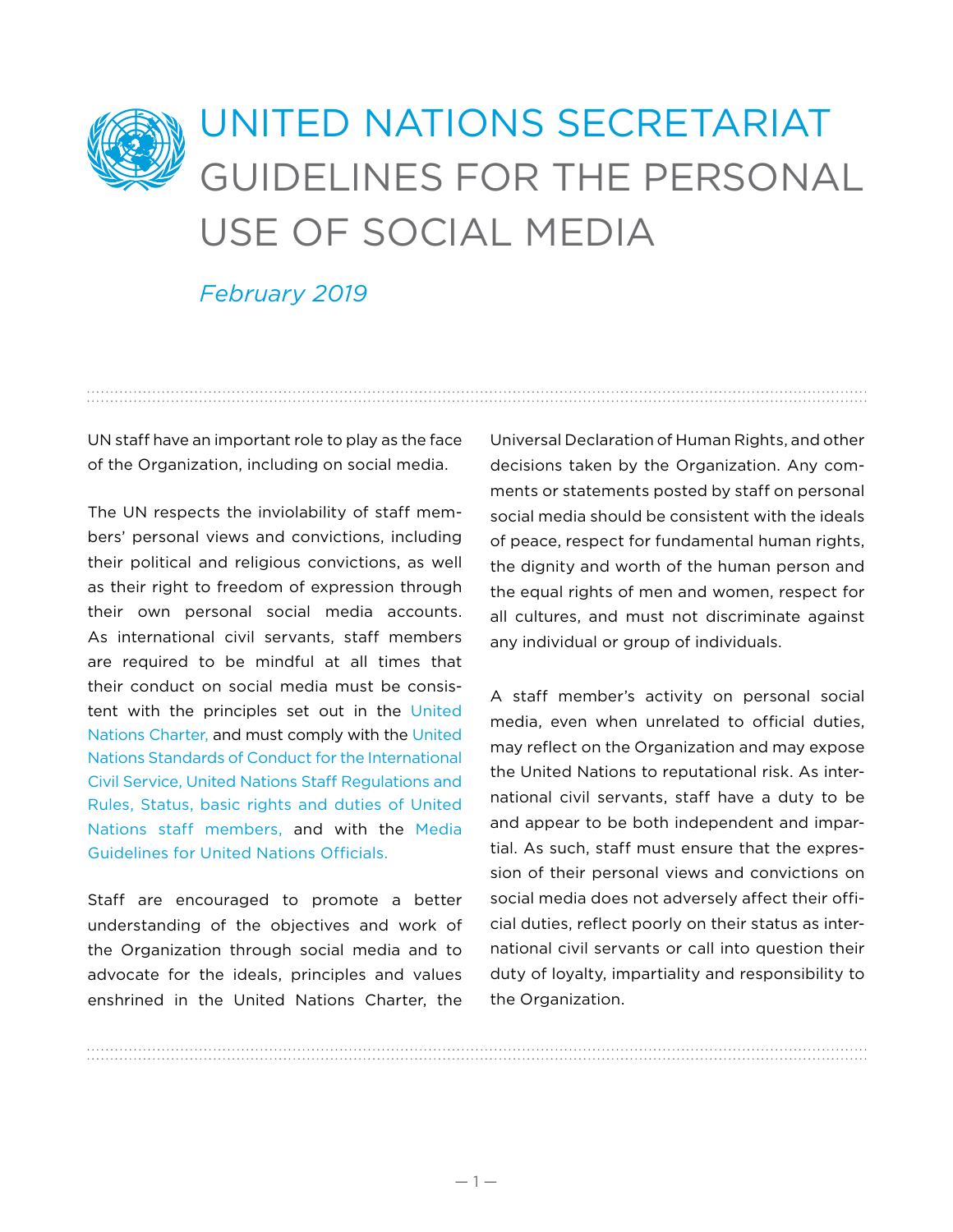## UNITED NATIONS SECRETARIAT GUIDELINES FOR THE PERSONAL USE OF SOCIAL MEDIA

*February 2019*

UN staff have an important role to play as the face of the Organization, including on social media.

The UN respects the inviolability of staff members' personal views and convictions, including their political and religious convictions, as well as their right to freedom of expression through their own personal social media accounts. As international civil servants, staff members are required to be mindful at all times that their conduct on social media must be consistent with the principles set out in the United [Nations Charter,](http://www.un.org/en/charter-united-nations/) and must comply with the [United](https://icsc.un.org/Resources/General/Publications/standardsE.pdf)  [Nations Standards of Conduct for the International](https://icsc.un.org/Resources/General/Publications/standardsE.pdf)  [Civil Service,](https://icsc.un.org/Resources/General/Publications/standardsE.pdf) [United Nations Staff Regulations and](https://undocs.org/ST/SGB/2018/1)  [Rules,](https://undocs.org/ST/SGB/2018/1) [Status, basic rights and duties of United](https://undocs.org/ST/SGB/2016/9)  [Nations staff members,](https://undocs.org/ST/SGB/2016/9)  and with the  [Media](https://iseek-external.un.org/user/login?destination=node/271517)  [Guidelines for United Nations Officials.](https://iseek-external.un.org/user/login?destination=node/271517) 

Staff are encouraged to promote a better understanding of the objectives and work of the Organization through social media and to advocate for the ideals, principles and values enshrined in the United Nations Charter, the

Universal Declaration of Human Rights, and other decisions taken by the Organization. Any comments or statements posted by staff on personal social media should be consistent with the ideals of peace, respect for fundamental human rights, the dignity and worth of the human person and the equal rights of men and women, respect for all cultures, and must not discriminate against any individual or group of individuals.

A staff member's activity on personal social media, even when unrelated to official duties, may reflect on the Organization and may expose the United Nations to reputational risk. As international civil servants, staff have a duty to be and appear to be both independent and impartial. As such, staff must ensure that the expression of their personal views and convictions on social media does not adversely affect their official duties, reflect poorly on their status as international civil servants or call into question their duty of loyalty, impartiality and responsibility to the Organization.